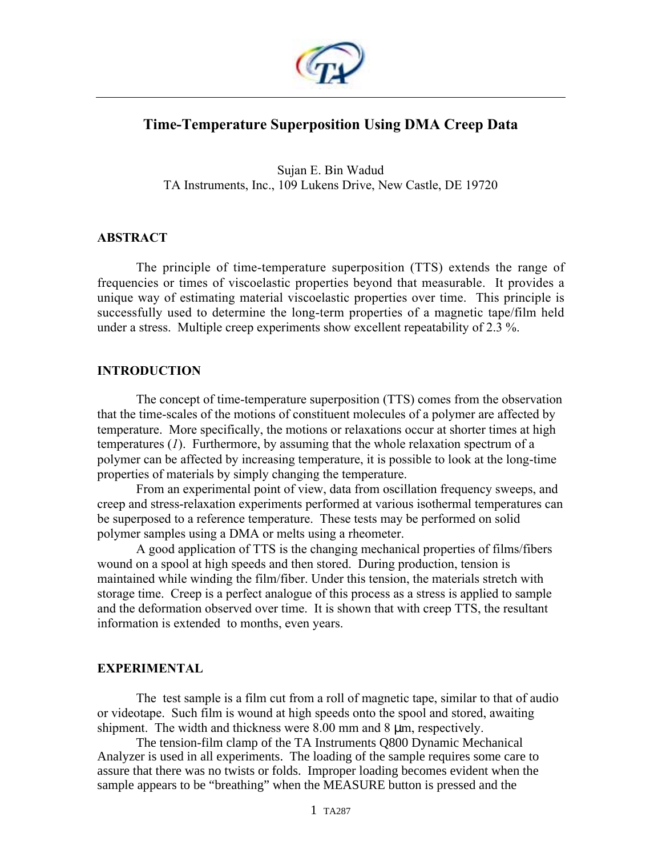

# **Time-Temperature Superposition Using DMA Creep Data**

Sujan E. Bin Wadud TA Instruments, Inc., 109 Lukens Drive, New Castle, DE 19720

### **ABSTRACT**

The principle of time-temperature superposition (TTS) extends the range of frequencies or times of viscoelastic properties beyond that measurable. It provides a unique way of estimating material viscoelastic properties over time. This principle is successfully used to determine the long-term properties of a magnetic tape/film held under a stress. Multiple creep experiments show excellent repeatability of 2.3 %.

### **INTRODUCTION**

The concept of time-temperature superposition (TTS) comes from the observation that the time-scales of the motions of constituent molecules of a polymer are affected by temperature. More specifically, the motions or relaxations occur at shorter times at high temperatures (*1*). Furthermore, by assuming that the whole relaxation spectrum of a polymer can be affected by increasing temperature, it is possible to look at the long-time properties of materials by simply changing the temperature.

From an experimental point of view, data from oscillation frequency sweeps, and creep and stress-relaxation experiments performed at various isothermal temperatures can be superposed to a reference temperature. These tests may be performed on solid polymer samples using a DMA or melts using a rheometer.

A good application of TTS is the changing mechanical properties of films/fibers wound on a spool at high speeds and then stored. During production, tension is maintained while winding the film/fiber. Under this tension, the materials stretch with storage time. Creep is a perfect analogue of this process as a stress is applied to sample and the deformation observed over time. It is shown that with creep TTS, the resultant information is extended to months, even years.

### **EXPERIMENTAL**

The test sample is a film cut from a roll of magnetic tape, similar to that of audio or videotape. Such film is wound at high speeds onto the spool and stored, awaiting shipment. The width and thickness were  $8.00$  mm and  $8 \mu$ m, respectively.

The tension-film clamp of the TA Instruments Q800 Dynamic Mechanical Analyzer is used in all experiments. The loading of the sample requires some care to assure that there was no twists or folds. Improper loading becomes evident when the sample appears to be "breathing" when the MEASURE button is pressed and the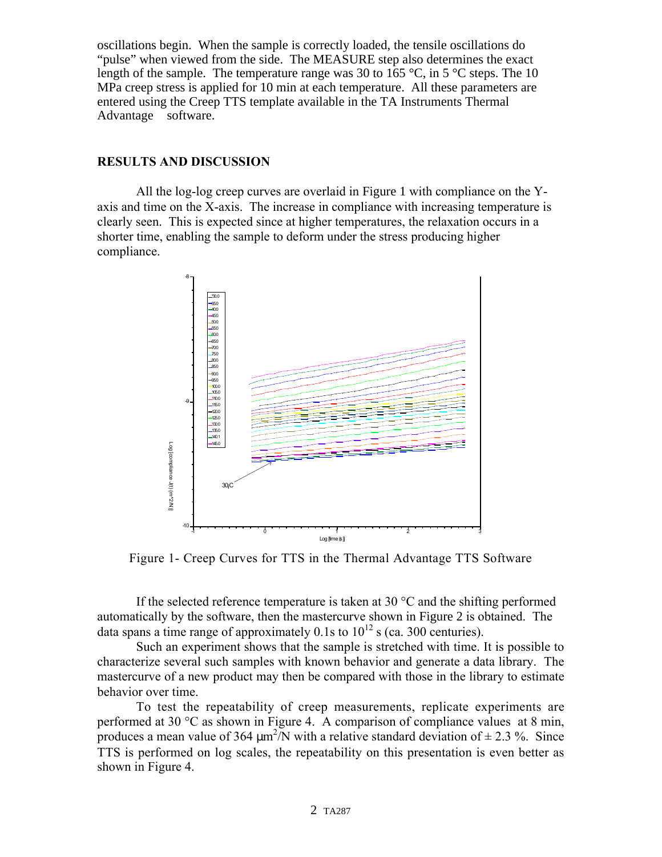oscillations begin. When the sample is correctly loaded, the tensile oscillations do "pulse" when viewed from the side. The MEASURE step also determines the exact length of the sample. The temperature range was 30 to 165 °C, in 5 °C steps. The 10 MPa creep stress is applied for 10 min at each temperature. All these parameters are entered using the Creep TTS template available in the TA Instruments Thermal Advantage<sup> $TM$ </sup> software.

## **RESULTS AND DISCUSSION**

All the log-log creep curves are overlaid in Figure 1 with compliance on the Yaxis and time on the X-axis. The increase in compliance with increasing temperature is clearly seen. This is expected since at higher temperatures, the relaxation occurs in a shorter time, enabling the sample to deform under the stress producing higher compliance.



Figure 1- Creep Curves for TTS in the Thermal Advantage TTS Software

If the selected reference temperature is taken at 30  $\degree$ C and the shifting performed automatically by the software, then the mastercurve shown in Figure 2 is obtained. The data spans a time range of approximately 0.1s to  $10^{12}$  s (ca. 300 centuries).

Such an experiment shows that the sample is stretched with time. It is possible to characterize several such samples with known behavior and generate a data library. The mastercurve of a new product may then be compared with those in the library to estimate behavior over time.

To test the repeatability of creep measurements, replicate experiments are performed at 30 °C as shown in Figure 4. A comparison of compliance values at 8 min, produces a mean value of 364  $\mu$ m<sup>2</sup>/N with a relative standard deviation of  $\pm$  2.3 %. Since TTS is performed on log scales, the repeatability on this presentation is even better as shown in Figure 4.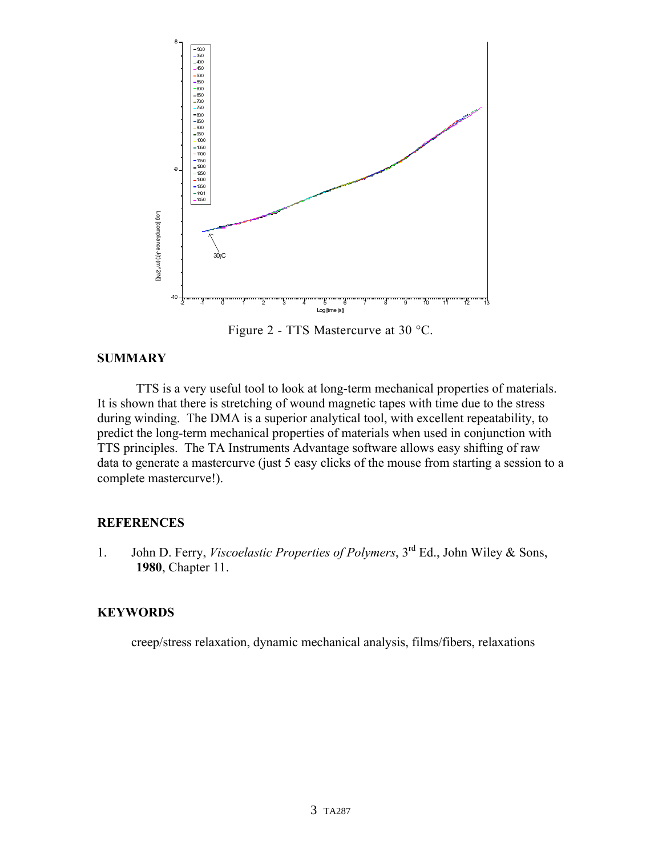

Figure 2 - TTS Mastercurve at 30  $^{\circ}$ C.

## **SUMMARY**

TTS is a very useful tool to look at long-term mechanical properties of materials. It is shown that there is stretching of wound magnetic tapes with time due to the stress during winding. The DMA is a superior analytical tool, with excellent repeatability, to predict the long-term mechanical properties of materials when used in conjunction with TTS principles. The TA Instruments Advantage software allows easy shifting of raw data to generate a mastercurve (just 5 easy clicks of the mouse from starting a session to a complete mastercurve!).

# **REFERENCES**

1. John D. Ferry, *Viscoelastic Properties of Polymers*, 3rd Ed., John Wiley & Sons, **1980**, Chapter 11.

# **KEYWORDS**

creep/stress relaxation, dynamic mechanical analysis, films/fibers, relaxations